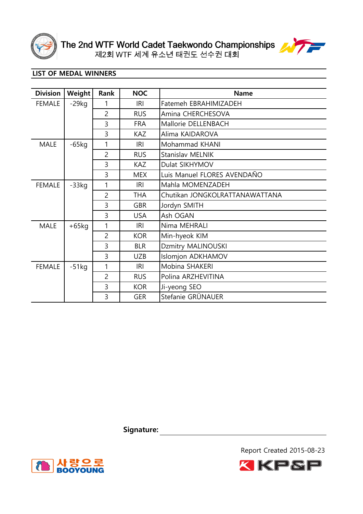



| <b>Division</b> | <b>Weight</b> | Rank           | <b>NOC</b> | <b>Name</b>                    |
|-----------------|---------------|----------------|------------|--------------------------------|
| <b>FEMALE</b>   | $-29kg$       | 1              | IRI        | Fatemeh EBRAHIMIZADEH          |
|                 |               | $\overline{2}$ | <b>RUS</b> | Amina CHERCHESOVA              |
|                 |               | 3              | <b>FRA</b> | Mallorie DELLENBACH            |
|                 |               | 3              | <b>KAZ</b> | Alima KAIDAROVA                |
| <b>MALE</b>     | $-65$ kg      | 1              | IRI        | Mohammad KHANI                 |
|                 |               | $\overline{2}$ | <b>RUS</b> | Stanislav MELNIK               |
|                 |               | 3              | <b>KAZ</b> | Dulat SIKHYMOV                 |
|                 |               | 3              | <b>MEX</b> | Luis Manuel FLORES AVENDAÑO    |
| <b>FEMALE</b>   | $-33kg$       | 1              | <b>IRI</b> | Mahla MOMENZADEH               |
|                 |               | $\overline{2}$ | <b>THA</b> | Chutikan JONGKOLRATTANAWATTANA |
|                 |               | 3              | <b>GBR</b> | Jordyn SMITH                   |
|                 |               | 3              | <b>USA</b> | Ash OGAN                       |
| <b>MALE</b>     | $+65kg$       | 1              | <b>IRI</b> | Nima MEHRALI                   |
|                 |               | $\overline{2}$ | <b>KOR</b> | Min-hyeok KIM                  |
|                 |               | 3              | <b>BLR</b> | Dzmitry MALINOUSKI             |
|                 |               | 3              | <b>UZB</b> | Islomjon ADKHAMOV              |
| <b>FEMALE</b>   | $-51kg$       | 1              | <b>IRI</b> | Mobina SHAKERI                 |
|                 |               | $\overline{2}$ | <b>RUS</b> | Polina ARZHEVITINA             |
|                 |               | 3              | <b>KOR</b> | Ji-yeong SEO                   |
|                 |               | 3              | <b>GER</b> | Stefanie GRÜNAUER              |

Signature: <u>with a set of the set of the set of the set of the set of the set of the set of the set of the set of the set of the set of the set of the set of the set of the set of the set of the set of the set of the set o</u>



Report Created 2015-08-23

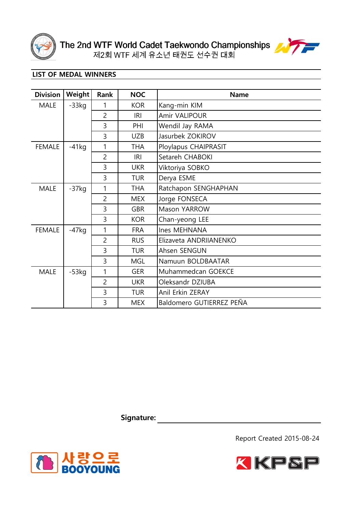



| <b>Division</b> | Weight   | Rank           | <b>NOC</b> | <b>Name</b>              |
|-----------------|----------|----------------|------------|--------------------------|
| <b>MALE</b>     | $-33kg$  | 1              | <b>KOR</b> | Kang-min KIM             |
|                 |          | $\overline{c}$ | <b>IRI</b> | Amir VALIPOUR            |
|                 |          | 3              | PHI        | Wendil Jay RAMA          |
|                 |          | 3              | <b>UZB</b> | Jasurbek ZOKIROV         |
| <b>FEMALE</b>   | $-41kg$  | 1              | <b>THA</b> | Ploylapus CHAIPRASIT     |
|                 |          | $\overline{2}$ | <b>IRI</b> | Setareh CHABOKI          |
|                 |          | 3              | <b>UKR</b> | Viktoriya SOBKO          |
|                 |          | 3              | <b>TUR</b> | Derya ESME               |
| <b>MALE</b>     | $-37kg$  | 1              | <b>THA</b> | Ratchapon SENGHAPHAN     |
|                 |          | $\overline{c}$ | <b>MEX</b> | Jorge FONSECA            |
|                 |          | 3              | <b>GBR</b> | Mason YARROW             |
|                 |          | 3              | <b>KOR</b> | Chan-yeong LEE           |
| <b>FEMALE</b>   | $-47$ kg | 1              | <b>FRA</b> | Ines MEHNANA             |
|                 |          | $\overline{2}$ | <b>RUS</b> | Elizaveta ANDRIIANENKO   |
|                 |          | 3              | <b>TUR</b> | Ahsen SENGUN             |
|                 |          | 3              | <b>MGL</b> | Namuun BOLDBAATAR        |
| <b>MALE</b>     | $-53kg$  | 1              | <b>GER</b> | Muhammedcan GOEKCE       |
|                 |          | $\overline{2}$ | <b>UKR</b> | Oleksandr DZIUBA         |
|                 |          | 3              | <b>TUR</b> | Anil Erkin ZERAY         |
|                 |          | 3              | <b>MEX</b> | Baldomero GUTIERREZ PEÑA |

**Signature:**





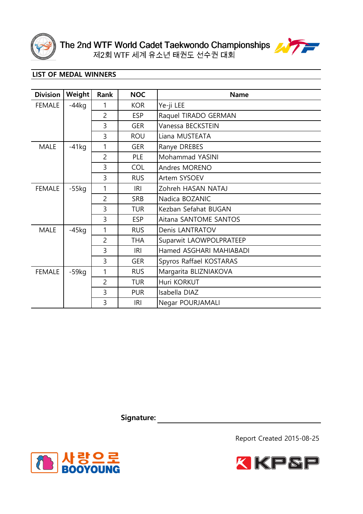



| <b>Division</b> | Weight   | Rank           | <b>NOC</b> | <b>Name</b>             |
|-----------------|----------|----------------|------------|-------------------------|
| <b>FEMALE</b>   | $-44kg$  | 1              | <b>KOR</b> | Ye-ji LEE               |
|                 |          | $\overline{c}$ | <b>ESP</b> | Raquel TIRADO GERMAN    |
|                 |          | 3              | <b>GER</b> | Vanessa BECKSTEIN       |
|                 |          | 3              | <b>ROU</b> | Liana MUSTEATA          |
| <b>MALE</b>     | $-41kg$  | 1              | <b>GER</b> | Ranye DREBES            |
|                 |          | $\overline{c}$ | PLE        | Mohammad YASINI         |
|                 |          | 3              | <b>COL</b> | Andres MORENO           |
|                 |          | 3              | <b>RUS</b> | Artem SYSOEV            |
| <b>FEMALE</b>   | $-55$ kg | 1              | <b>IRI</b> | Zohreh HASAN NATAJ      |
|                 |          | $\overline{2}$ | <b>SRB</b> | Nadica BOZANIC          |
|                 |          | 3              | <b>TUR</b> | Kezban Sefahat BUGAN    |
|                 |          | 3              | <b>ESP</b> | Aitana SANTOME SANTOS   |
| <b>MALE</b>     | $-45$ kg | 1              | <b>RUS</b> | Denis LANTRATOV         |
|                 |          | $\overline{2}$ | <b>THA</b> | Suparwit LAOWPOLPRATEEP |
|                 |          | 3              | <b>IRI</b> | Hamed ASGHARI MAHIABADI |
|                 |          | 3              | <b>GER</b> | Spyros Raffael KOSTARAS |
| <b>FEMALE</b>   | -59kg    | 1              | <b>RUS</b> | Margarita BLIZNIAKOVA   |
|                 |          | $\overline{2}$ | <b>TUR</b> | Huri KORKUT             |
|                 |          | 3              | <b>PUR</b> | Isabella DIAZ           |
|                 |          | 3              | <b>IRI</b> | Negar POURJAMALI        |

**Signature:**